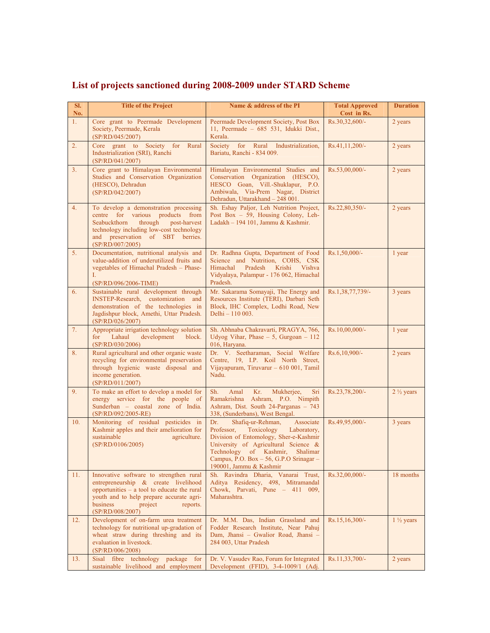| SI.<br>No.     | <b>Title of the Project</b>                                                                                                                                                                                                       | Name & address of the PI                                                                                                                                                                                                                                                        | <b>Total Approved</b><br>Cost in Rs. | <b>Duration</b>      |
|----------------|-----------------------------------------------------------------------------------------------------------------------------------------------------------------------------------------------------------------------------------|---------------------------------------------------------------------------------------------------------------------------------------------------------------------------------------------------------------------------------------------------------------------------------|--------------------------------------|----------------------|
| 1.             | Core grant to Peermade Development<br>Society, Peermade, Kerala<br>(SP/RD/045/2007)                                                                                                                                               | Peermade Development Society, Post Box<br>11, Peermade $-685$ 531, Idukki Dist.,<br>Kerala.                                                                                                                                                                                     | Rs.30,32,600/-                       | 2 years              |
| 2.             | Core grant to Society for Rural<br>Industrialization (SRI), Ranchi<br>(SP/RD/041/2007)                                                                                                                                            | Society for Rural Industrialization,<br>Bariatu, Ranchi - 834 009.                                                                                                                                                                                                              | Rs.41,11,200/-                       | 2 years              |
| 3 <sub>1</sub> | Core grant to Himalayan Environmental<br>Studies and Conservation Organization<br>(HESCO), Dehradun<br>(SP/RD/042/2007)                                                                                                           | Himalayan Environmental Studies and<br>Conservation Organization (HESCO),<br>HESCO Goan, Vill.-Shuklapur, P.O.<br>Ambiwala, Via-Prem Nagar, District<br>Dehradun, Uttarakhand - 248 001.                                                                                        | Rs.53,00,000/-                       | 2 years              |
| 4.             | To develop a demonstration processing<br>centre for various products from<br>Seabuckthorn<br>through<br>post-harvest<br>technology including low-cost technology<br>and preservation of SBT berries.<br>(SP/RD/007/2005)          | Sh. Eshay Paljor, Leh Nutrition Project,<br>Post Box $-59$ , Housing Colony, Leh-<br>Ladakh - 194 101, Jammu & Kashmir.                                                                                                                                                         | Rs.22,80,350/-                       | 2 years              |
| 5.             | Documentation, nutritional analysis and<br>value-addition of underutilized fruits and<br>vegetables of Himachal Pradesh - Phase-<br>L.<br>(SP/RD/096/2006-TIME)                                                                   | Dr. Radhna Gupta, Department of Food<br>Science and Nutrition, COHS, CSK<br>Himachal<br>Pradesh<br>Krishi<br>Vishva<br>Vidyalaya, Palampur - 176 062, Himachal<br>Pradesh.                                                                                                      | $Rs.1,50,000/-$                      | 1 year               |
| 6.             | Sustainable rural development through<br>INSTEP-Research, customization and<br>demonstration of the technologies in<br>Jagdishpur block, Amethi, Uttar Pradesh.<br>(SP/RD/026/2007)                                               | Mr. Sakarama Somayaji, The Energy and<br>Resources Institute (TERI), Darbari Seth<br>Block, IHC Complex, Lodhi Road, New<br>Delhi - 110 003.                                                                                                                                    | Rs.1,38,77,739/-                     | 3 years              |
| 7.             | Appropriate irrigation technology solution<br>Lahaul<br>development<br>for<br>block.<br>(SP/RD/030/2006)                                                                                                                          | Sh. Abhnaba Chakravarti, PRAGYA, 766,<br>Udyog Vihar, Phase $-5$ , Gurgoan $-112$<br>016, Haryana.                                                                                                                                                                              | $Rs.10,00,000/-$                     | 1 year               |
| 8.             | Rural agricultural and other organic waste<br>recycling for environmental preservation<br>through hygienic waste disposal and<br>income generation.<br>(SP/RD/011/2007)                                                           | Dr. V. Seetharaman, Social Welfare<br>Centre, 19, I.P. Koil North Street,<br>Vijayapuram, Tiruvarur - 610 001, Tamil<br>Nadu.                                                                                                                                                   | Rs.6,10,900/-                        | 2 years              |
| 9.             | To make an effort to develop a model for<br>energy service for the people of<br>Sunderban - coastal zone of India.<br>(SP/RD/092/2005-RE)                                                                                         | Sh.<br>Amal<br>Kr.<br>Mukherjee,<br>Sri<br>Ramakrishna Ashram, P.O. Nimpith<br>Ashram, Dist. South 24-Parganas - 743<br>338, (Sunderbans), West Bengal.                                                                                                                         | Rs.23,78,200/-                       | $2\frac{1}{2}$ years |
| 10.            | Monitoring of residual pesticides in<br>Kashmir apples and their amelioration for<br>sustainable<br>agriculture.<br>(SP/RD/0106/2005)                                                                                             | Dr.<br>Shafiq-ur-Rehman,<br>Associate<br>Professor,<br>Toxicology<br>Laboratory,<br>Division of Entomology, Sher-e-Kashmir<br>University of Agricultural Science &<br>Technology of Kashmir, Shalimar<br>Campus, P.O. Box $-56$ , G.P.O Srinagar $-$<br>190001, Jammu & Kashmir | Rs.49,95,000/-                       | 3 years              |
| 11.            | Innovative software to strengthen rural<br>entrepreneurship & create livelihood<br>opportunities - a tool to educate the rural<br>youth and to help prepare accurate agri-<br>business<br>project<br>reports.<br>(SP/RD/008/2007) | Sh. Ravindra Dharia, Vanarai Trust,<br>Aditya Residency, 498, Mitramandal<br>Chowk, Parvati, Pune - 411 009,<br>Maharashtra.                                                                                                                                                    | Rs.32,00,000/-                       | 18 months            |
| 12.            | Development of on-farm urea treatment<br>technology for nutritional up-gradation of<br>wheat straw during threshing and its<br>evaluation in livestock.<br>(SP/RD/006/2008)                                                       | Dr. M.M. Das, Indian Grassland and<br>Fodder Research Institute, Near Pahuj<br>Dam, Jhansi - Gwalior Road, Jhansi -<br>284 003, Uttar Pradesh                                                                                                                                   | Rs.15,16,300/-                       | $1\frac{1}{2}$ years |
| 13.            | Sisal fibre technology package for<br>sustainable livelihood and employment                                                                                                                                                       | Dr. V. Vasudev Rao, Forum for Integrated<br>Development (FFID), $3-4-1009/1$ (Adj.                                                                                                                                                                                              | Rs.11,33,700/-                       | 2 years              |

## **List of projects sanctioned during 2008-2009 under STARD Scheme**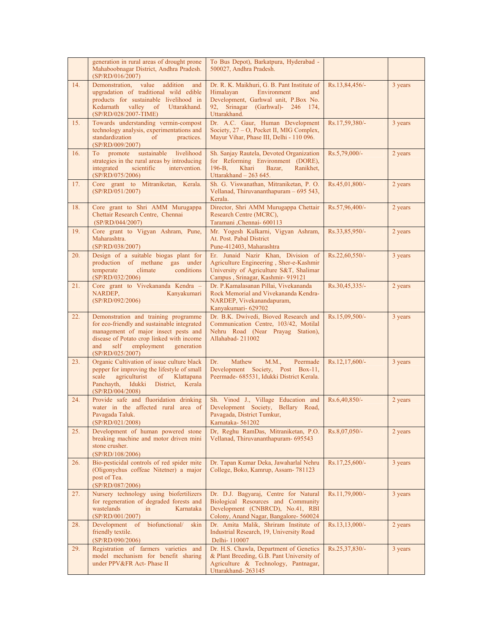|     | generation in rural areas of drought prone<br>Mahaboobnagar District, Andhra Pradesh.<br>(SP/RD/016/2007)                                                                                                                               | To Bus Depot), Barkatpura, Hyderabad -<br>500027, Andhra Pradesh.                                                                                                          |                |         |
|-----|-----------------------------------------------------------------------------------------------------------------------------------------------------------------------------------------------------------------------------------------|----------------------------------------------------------------------------------------------------------------------------------------------------------------------------|----------------|---------|
| 14. | Demonstration, value addition<br>and<br>upgradation of traditional wild edible<br>products for sustainable livelihood in<br>Kedarnath valley of Uttarakhand.<br>(SP/RD/028/2007-TIME)                                                   | Dr. R. K. Maikhuri, G. B. Pant Institute of<br>Himalayan<br>Environment<br>and<br>Development, Garhwal unit, P.Box No.<br>92, Srinagar (Garhwal)- 246 174,<br>Uttarakhand. | Rs.13,84,456/- | 3 years |
| 15. | Towards understanding vermin-compost<br>technology analysis, experimentations and<br>standardization<br>$\sigma$<br>practices.<br>(SP/RD/009/2007)                                                                                      | Dr. A.C. Gaur, Human Development<br>Society, 27 - O, Pocket II, MIG Complex,<br>Mayur Vihar, Phase III, Delhi - 110 096.                                                   | Rs.17,59,380/- | 3 years |
| 16. | To promote sustainable<br>livelihood<br>strategies in the rural areas by introducing<br>scientific<br>integrated<br>intervention.<br>(SP/RD/075/2006)                                                                                   | Sh. Sanjay Rautela, Devoted Organization<br>for Reforming Environment (DORE),<br>$196 - B$ ,<br>Khari<br>Bazar,<br>Ranikhet,<br>Uttarakhand - 263 645.                     | Rs.5,79,000/-  | 2 years |
| 17. | Core grant to Mitraniketan, Kerala.<br>(SP/RD/051/2007)                                                                                                                                                                                 | Sh. G. Viswanathan, Mitraniketan, P. O.<br>Vellanad, Thiruvananthapuram - 695 543,<br>Kerala.                                                                              | Rs.45,01,800/- | 2 years |
| 18. | Core grant to Shri AMM Murugappa<br>Chettair Research Centre, Chennai<br>(SP/RD/044/2007)                                                                                                                                               | Director, Shri AMM Murugappa Chettair<br>Research Centre (MCRC),<br>Taramani ,Chennai- 600113                                                                              | Rs.57,96,400/- | 2 years |
| 19. | Core grant to Vigyan Ashram, Pune,<br>Maharashtra.<br>(SP/RD/038/2007)                                                                                                                                                                  | Mr. Yogesh Kulkarni, Vigyan Ashram,<br>At. Post. Pabal District<br>Pune-412403, Maharashtra                                                                                | Rs.33,85,950/- | 2 years |
| 20. | Design of a suitable biogas plant for<br>production of methane gas under<br>climate<br>conditions<br>temperate<br>(SP/RD/032/2006)                                                                                                      | Er. Junaid Nazir Khan, Division of<br>Agriculture Engineering, Sher-e-Kashmir<br>University of Agriculture S&T, Shalimar<br>Campus, Srinagar, Kashmir- 919121              | Rs.22,60,550/- | 3 years |
| 21. | Core grant to Vivekananda Kendra -<br>NARDEP,<br>Kanyakumari<br>(SP/RD/092/2006)                                                                                                                                                        | Dr. P.Kamalasanan Pillai, Vivekananda<br>Rock Memorial and Vivekananda Kendra-<br>NARDEP, Vivekanandapuram,<br>Kanyakumari- 629702                                         | Rs.30,45,335/- | 2 years |
| 22. | Demonstration and training programme<br>for eco-friendly and sustainable integrated<br>management of major insect pests and<br>disease of Potato crop linked with income<br>employment<br>and<br>self<br>generation<br>(SP/RD/025/2007) | Dr. B.K. Dwivedi, Bioved Research and<br>Communication Centre, 103/42, Motilal<br>Nehru Road (Near Prayag Station),<br>Allahabad-211002                                    | Rs.15,09,500/- | 3 years |
| 23. | Organic Cultivation of issue culture black<br>pepper for improving the lifestyle of small<br>agriculturist of Klattapana<br>scale<br>Panchayth, Idukki District, Kerala<br>(SP/RD/004/2008)                                             | Dr.<br>Mathew<br>M.M.,<br>Peermade<br>Development Society, Post Box-11,<br>Peermade- 685531, Idukki District Kerala.                                                       | Rs.12,17,600/- | 3 years |
| 24. | Provide safe and fluoridation drinking<br>water in the affected rural area of<br>Pavagada Taluk. Pavagada Taluk<br>(SP/RD/021/2008)                                                                                                     | Sh. Vinod J., Village Education and<br>Development Society, Bellary Road,<br>Pavagada, District Tumkur,<br>Karnataka- 561202                                               | Rs.6,40,850/-  | 2 years |
| 25. | Development of human powered stone<br>breaking machine and motor driven mini<br>stone crusher.<br>(SP/RD/108/2006)                                                                                                                      | Dr, Reghu RamDas, Mitraniketan, P.O.<br>Vellanad, Thiruvananthapuram- 695543                                                                                               | Rs.8,07,050/-  | 2 years |
| 26. | Bio-pesticidal controls of red spider mite<br>(Oligonychus coffeae Nitetner) a major<br>post of Tea.<br>(SP/RD/087/2006)                                                                                                                | Dr. Tapan Kumar Deka, Jawaharlal Nehru<br>College, Boko, Kamrup, Assam-781123                                                                                              | Rs.17,25,600/- | 3 years |
| 27. | Nursery technology using biofertilizers<br>for regeneration of degraded forests and<br>wastelands<br>in<br>Karnataka<br>(SP/RD/001/2007)                                                                                                | Dr. D.J. Bagyaraj, Centre for Natural<br>Biological Resources and Community<br>Development (CNBRCD), No.41, RBI<br>Colony, Anand Nagar, Bangalore- 560024                  | Rs.11,79,000/- | 3 years |
| 28. | Development of<br>biofunctional/<br>skin<br>friendly textile.<br>(SP/RD/090/2006)                                                                                                                                                       | Dr. Amita Malik, Shriram Institute of<br>Industrial Research, 19, University Road<br>Delhi-110007                                                                          | Rs.13,13,000/- | 2 years |
| 29. | Registration of farmers varieties and<br>model mechanism for benefit sharing<br>under PPV&FR Act- Phase II                                                                                                                              | Dr. H.S. Chawla, Department of Genetics<br>& Plant Breeding, G.B. Pant University of<br>Agriculture & Technology, Pantnagar,<br>Uttarakhand-263145                         | Rs.25,37,830/- | 3 years |